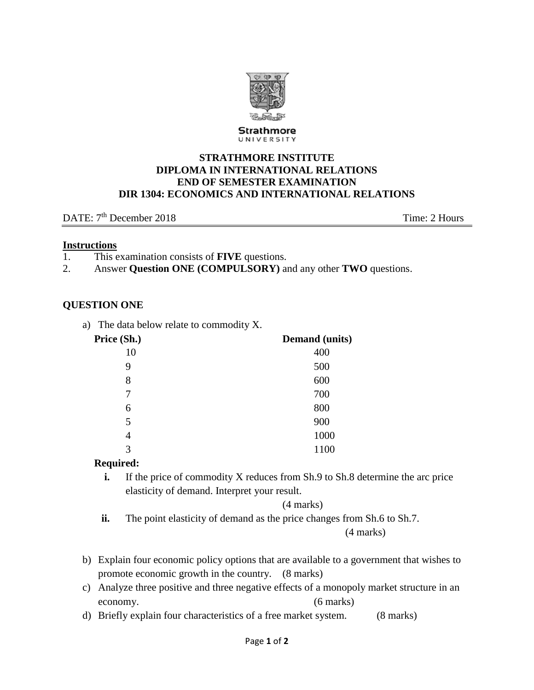

Strathmore UNIVERSITY

#### **STRATHMORE INSTITUTE DIPLOMA IN INTERNATIONAL RELATIONS END OF SEMESTER EXAMINATION DIR 1304: ECONOMICS AND INTERNATIONAL RELATIONS**

DATE:  $7<sup>th</sup>$  December 2018 Time: 2 Hours

#### **Instructions**

- 1. This examination consists of **FIVE** questions.
- 2. Answer **Question ONE (COMPULSORY)** and any other **TWO** questions.

### **QUESTION ONE**

a) The data below relate to commodity X.

| Price (Sh.) | <b>Demand</b> (units) |
|-------------|-----------------------|
| 10          | 400                   |
| 9           | 500                   |
| 8           | 600                   |
| 7           | 700                   |
| 6           | 800                   |
| 5           | 900                   |
| 4           | 1000                  |
| 3           | 1100                  |

#### **Required:**

**i.** If the price of commodity X reduces from Sh.9 to Sh.8 determine the arc price elasticity of demand. Interpret your result.

(4 marks)

**ii.** The point elasticity of demand as the price changes from Sh.6 to Sh.7.

(4 marks)

- b) Explain four economic policy options that are available to a government that wishes to promote economic growth in the country. (8 marks)
- c) Analyze three positive and three negative effects of a monopoly market structure in an economy. (6 marks)
- d) Briefly explain four characteristics of a free market system. (8 marks)